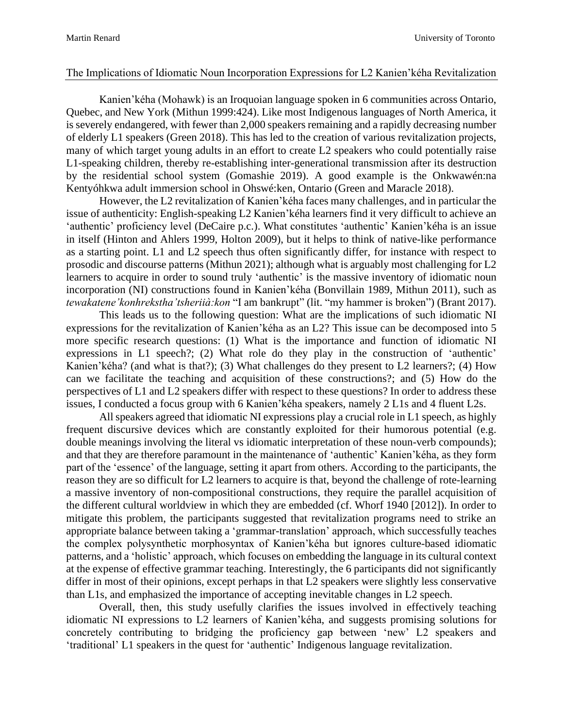## The Implications of Idiomatic Noun Incorporation Expressions for L2 Kanien'kéha Revitalization

Kanien'kéha (Mohawk) is an Iroquoian language spoken in 6 communities across Ontario, Quebec, and New York (Mithun 1999:424). Like most Indigenous languages of North America, it is severely endangered, with fewer than 2,000 speakers remaining and a rapidly decreasing number of elderly L1 speakers (Green 2018). This has led to the creation of various revitalization projects, many of which target young adults in an effort to create L2 speakers who could potentially raise L1-speaking children, thereby re-establishing inter-generational transmission after its destruction by the residential school system (Gomashie 2019). A good example is the Onkwawén:na Kentyóhkwa adult immersion school in Ohswé:ken, Ontario (Green and Maracle 2018).

However, the L2 revitalization of Kanien'kéha faces many challenges, and in particular the issue of authenticity: English-speaking L2 Kanien'kéha learners find it very difficult to achieve an 'authentic' proficiency level (DeCaire p.c.). What constitutes 'authentic' Kanien'kéha is an issue in itself (Hinton and Ahlers 1999, Holton 2009), but it helps to think of native-like performance as a starting point. L1 and L2 speech thus often significantly differ, for instance with respect to prosodic and discourse patterns (Mithun 2021); although what is arguably most challenging for L2 learners to acquire in order to sound truly 'authentic' is the massive inventory of idiomatic noun incorporation (NI) constructions found in Kanien'kéha (Bonvillain 1989, Mithun 2011), such as *tewakatene'konhrekstha'tsheriià:kon* "I am bankrupt" (lit. "my hammer is broken") (Brant 2017).

This leads us to the following question: What are the implications of such idiomatic NI expressions for the revitalization of Kanien'kéha as an L2? This issue can be decomposed into 5 more specific research questions: (1) What is the importance and function of idiomatic NI expressions in L1 speech?; (2) What role do they play in the construction of 'authentic' Kanien'kéha? (and what is that?); (3) What challenges do they present to L2 learners?; (4) How can we facilitate the teaching and acquisition of these constructions?; and (5) How do the perspectives of L1 and L2 speakers differ with respect to these questions? In order to address these issues, I conducted a focus group with 6 Kanien'kéha speakers, namely 2 L1s and 4 fluent L2s.

All speakers agreed that idiomatic NI expressions play a crucial role in L1 speech, as highly frequent discursive devices which are constantly exploited for their humorous potential (e.g. double meanings involving the literal vs idiomatic interpretation of these noun-verb compounds); and that they are therefore paramount in the maintenance of 'authentic' Kanien'kéha, as they form part of the 'essence' of the language, setting it apart from others. According to the participants, the reason they are so difficult for L2 learners to acquire is that, beyond the challenge of rote-learning a massive inventory of non-compositional constructions, they require the parallel acquisition of the different cultural worldview in which they are embedded (cf. Whorf 1940 [2012]). In order to mitigate this problem, the participants suggested that revitalization programs need to strike an appropriate balance between taking a 'grammar-translation' approach, which successfully teaches the complex polysynthetic morphosyntax of Kanien'kéha but ignores culture-based idiomatic patterns, and a 'holistic' approach, which focuses on embedding the language in its cultural context at the expense of effective grammar teaching. Interestingly, the 6 participants did not significantly differ in most of their opinions, except perhaps in that L2 speakers were slightly less conservative than L1s, and emphasized the importance of accepting inevitable changes in L2 speech.

Overall, then, this study usefully clarifies the issues involved in effectively teaching idiomatic NI expressions to L2 learners of Kanien'kéha, and suggests promising solutions for concretely contributing to bridging the proficiency gap between 'new' L2 speakers and 'traditional' L1 speakers in the quest for 'authentic' Indigenous language revitalization.